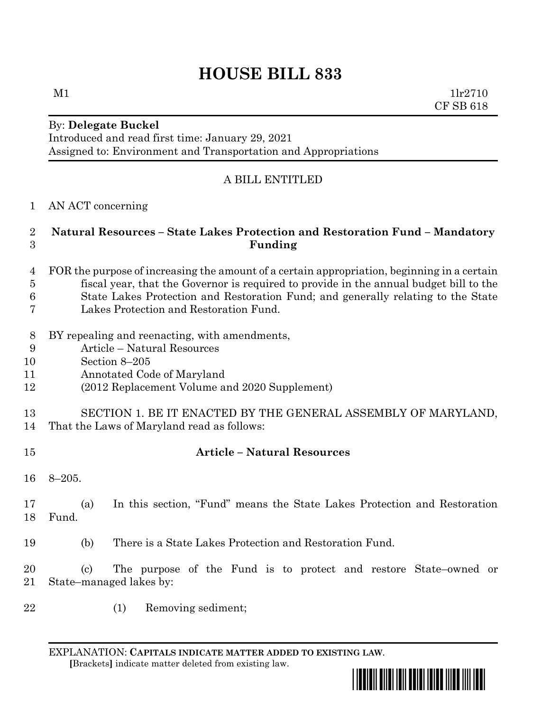# **HOUSE BILL 833**

### By: **Delegate Buckel** Introduced and read first time: January 29, 2021 Assigned to: Environment and Transportation and Appropriations

## A BILL ENTITLED

#### AN ACT concerning

#### **Natural Resources – State Lakes Protection and Restoration Fund – Mandatory Funding**

- FOR the purpose of increasing the amount of a certain appropriation, beginning in a certain fiscal year, that the Governor is required to provide in the annual budget bill to the
- State Lakes Protection and Restoration Fund; and generally relating to the State
- Lakes Protection and Restoration Fund.
- BY repealing and reenacting, with amendments,
- Article Natural Resources
- Section 8–205
- Annotated Code of Maryland
- (2012 Replacement Volume and 2020 Supplement)
- SECTION 1. BE IT ENACTED BY THE GENERAL ASSEMBLY OF MARYLAND,
- That the Laws of Maryland read as follows:
- 

#### **Article – Natural Resources**

- 8–205.
- (a) In this section, "Fund" means the State Lakes Protection and Restoration Fund.
- (b) There is a State Lakes Protection and Restoration Fund.
- (c) The purpose of the Fund is to protect and restore State–owned or State–managed lakes by:
- 
- (1) Removing sediment;

EXPLANATION: **CAPITALS INDICATE MATTER ADDED TO EXISTING LAW**.  **[**Brackets**]** indicate matter deleted from existing law.

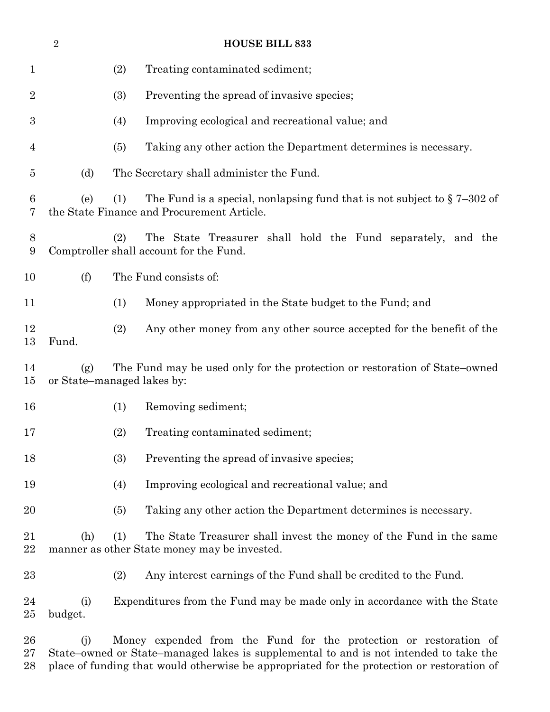|                  | $\boldsymbol{2}$ | <b>HOUSE BILL 833</b>                                                                                                                                      |
|------------------|------------------|------------------------------------------------------------------------------------------------------------------------------------------------------------|
| $\mathbf 1$      |                  | (2)<br>Treating contaminated sediment;                                                                                                                     |
| $\overline{2}$   |                  | (3)<br>Preventing the spread of invasive species;                                                                                                          |
| $\boldsymbol{3}$ |                  | (4)<br>Improving ecological and recreational value; and                                                                                                    |
| 4                |                  | (5)<br>Taking any other action the Department determines is necessary.                                                                                     |
| $\overline{5}$   | (d)              | The Secretary shall administer the Fund.                                                                                                                   |
| 6<br>7           | (e)              | The Fund is a special, nonlapsing fund that is not subject to $\S 7-302$ of<br>(1)<br>the State Finance and Procurement Article.                           |
| 8<br>9           |                  | The State Treasurer shall hold the Fund separately, and the<br>(2)<br>Comptroller shall account for the Fund.                                              |
| 10               | (f)              | The Fund consists of:                                                                                                                                      |
| 11               |                  | (1)<br>Money appropriated in the State budget to the Fund; and                                                                                             |
| 12<br>13         | Fund.            | (2)<br>Any other money from any other source accepted for the benefit of the                                                                               |
| 14<br>15         | (g)              | The Fund may be used only for the protection or restoration of State–owned<br>or State–managed lakes by:                                                   |
| 16               |                  | (1)<br>Removing sediment;                                                                                                                                  |
| 17               |                  | (2)<br>Treating contaminated sediment;                                                                                                                     |
| 18               |                  | (3)<br>Preventing the spread of invasive species;                                                                                                          |
| 19               |                  | Improving ecological and recreational value; and<br>(4)                                                                                                    |
| 20               |                  | Taking any other action the Department determines is necessary.<br>(5)                                                                                     |
| 21<br>22         | (h)              | (1)<br>The State Treasurer shall invest the money of the Fund in the same<br>manner as other State money may be invested.                                  |
| $23\,$           |                  | (2)<br>Any interest earnings of the Fund shall be credited to the Fund.                                                                                    |
| 24<br>$25\,$     | (i)<br>budget.   | Expenditures from the Fund may be made only in accordance with the State                                                                                   |
| 26<br>$27\,$     | (i)              | Money expended from the Fund for the protection or restoration of<br>State–owned or State–managed lakes is supplemental to and is not intended to take the |

place of funding that would otherwise be appropriated for the protection or restoration of